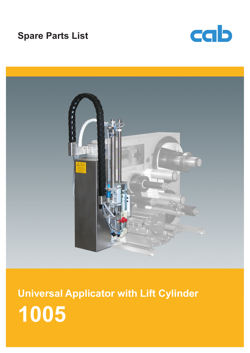# **Spare Parts List**





**1005 Universal Applicator with Lift Cylinder**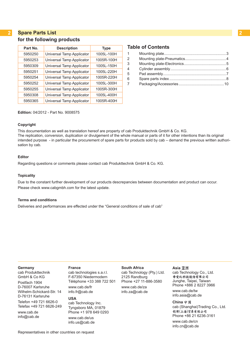#### **2 2 Spare Parts List for the following products**

| Part No. | <b>Description</b>        | <b>Type</b> |
|----------|---------------------------|-------------|
| 5950250  | Universal Tamp Applicator | 1005L-100H  |
| 5950253  | Universal Tamp Applicator | 1005R-100H  |
| 5950309  | Universal Tamp Applicator | 1005L-150H  |
| 5950251  | Universal Tamp Applicator | 1005L-220H  |
| 5950254  | Universal Tamp Applicator | 1005R-220H  |
| 5950252  | Universal Tamp Applicator | 1005L-300H  |
| 5950255  | Universal Tamp Applicator | 1005R-300H  |
| 5950308  | Universal Tamp Applicator | 1005L-400H  |
| 5950365  | Universal Tamp Applicator | 1005R-400H  |
|          |                           |             |

### **Table of Contents**

| $1 \quad$      |  |
|----------------|--|
| $\overline{2}$ |  |
| 3              |  |
| 4              |  |
| 5              |  |
| 6              |  |
| $\overline{7}$ |  |
|                |  |

**Edition:** 04/2012 - Part No. 9008575

#### **Copyright**

This documentation as well as translation hereof are property of cab Produkttechnik GmbH & Co. KG. The replication, conversion, duplication or divulgement of the whole manual or parts of it for other intentions than its original intended purpose - in particular the procurement of spare parts for products sold by cab – demand the previous written authorisation by cab.

#### **Editor**

Regarding questions or comments please contact cab Produkttechnik GmbH & Co. KG.

#### **Topicality**

Due to the constant further development of our products descrepancies between documentation and product can occur. Please check www.cabgmbh.com for the latest update.

#### **Terms and conditions**

Deliveries and performances are effected under the "General conditions of sale of cab"

#### **Germany**

cab Produkttechnik GmbH & Co KG Postfach 1904 D-76007 Karlsruhe Wilhelm-Schickard-Str. 14 D-76131 Karlsruhe Telefon +49 721 6626-0 Telefax +49 721 6626-249 www.cab.de info@cab.de

#### **France** cab technologies s.a.r.l. F-67350 Niedermodern

Téléphone +33 388 722 501 www.cab.de/fr info.fr@cab.de

#### **USA**

cab Technology Inc. Tyngsboro MA, 01879 Phone +1 978 649 0293 www.cab.de/us info.us@cab.de

**South Africa** cab Technology (Pty.) Ltd. 2125 Randburg Phone +27 11-886-3580 www.cab.de/za

info.za@cab.de

#### Asia 亚洲

cab Technology Co., Ltd.<br>希爱比科技股份有限公司 Junghe, Taipei, Taiwan Phone +886 2 8227 3966

www.cab.de/tw info.asia@cab.de

**China**  cab (Shanghai)Trading Co., Ltd.<br>铠博(上海)贸易有限公司 Phone +86 21 6236-3161 www.cab.de/cn

info.cn@cab.de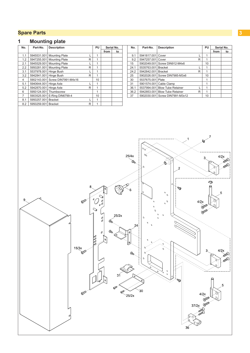## <span id="page-2-0"></span>**1 Mounting plate**

| No. | Part-No.               | <b>Description</b>              | PU |    | Serial No. |    |
|-----|------------------------|---------------------------------|----|----|------------|----|
|     |                        |                                 |    |    | from       | to |
| 1.1 | 5945531.001            | <b>Mounting Plate</b>           |    | 1  |            |    |
| 1.2 | 5947255.001            | <b>Mounting Plate</b>           | R  | 1  |            |    |
| 2.1 |                        | 5945529.001 Mounting Plate      |    | 1  |            |    |
| 2.2 |                        | 5950281.001 Mounting Plate      | R  | 1  |            |    |
| 3.1 | 5537978.001 Hinge Bush |                                 |    | 1  |            |    |
| 3.2 | 5942841.001            | Hinge Bush                      | R  | 1  |            |    |
| 4   |                        | 5902143.001 Screw DIN7991-M4x16 |    | 10 |            |    |
| 5.1 | 5940644.001            | Hinge Axle                      |    | 1  |            |    |
| 5.2 | 5942870.001            | Hinge Axle                      | R  | 1  |            |    |
| 6   | 5950124.001            | Thumbscrew                      |    | 1  |            |    |
| 7   |                        | 5903525.001 E-Ring DIN6799-4    |    | 10 |            |    |
| 8.1 | 5950257.001            | <b>Bracket</b>                  |    | 1  |            |    |
| 8.2 | 5950259.001 Bracket    |                                 | R  | 1  |            |    |

| No.  | Part-No.    | <b>Description</b>        |   | PU |      | Serial No. |
|------|-------------|---------------------------|---|----|------|------------|
|      |             |                           |   |    | from | to         |
| 9.1  | 5941817.001 | Cover                     |   | 1  |      |            |
| 9.2  | 5947257.001 | Cover                     | R | 1  |      |            |
| 15   | 5902049.001 | Screw DIN912-M4x6         |   | 10 |      |            |
| 24.1 | 5535763.001 | <b>Bracket</b>            |   | 1  |      |            |
| 24.2 | 5942842.001 | <b>Bracket</b>            | R | 1  |      |            |
| 25   | 5902026.001 | Screw DIN7985-M3x6        |   | 10 |      |            |
| 30   | 5537675.001 | Plate                     |   | 1  |      |            |
| 31   | 5901574.001 | Cable Clamp               |   | 1  |      |            |
| 36.1 | 5537994.001 | <b>Blow Tube Retainer</b> |   | 1  |      |            |
| 36.2 | 5942853.001 | <b>Blow Tube Retainer</b> | R | 1  |      |            |
| 37   | 5902030.001 | Screw DIN7991-M3x12       |   | 10 |      |            |

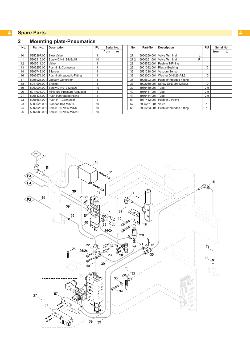## <span id="page-3-0"></span>**Mounting plate-Pneumatics**

| No. | Part-No.    | <b>Description</b>           | PU | Serial No. |    |
|-----|-------------|------------------------------|----|------------|----|
|     |             |                              |    | from       | to |
| 10  | 5950267.001 | <b>Blow Valve</b>            | 1  |            |    |
| 11  | 5902815.001 | Screw DIN912-M3x45           | 10 |            |    |
| 12  | 5905611.001 | Valve                        | 1  |            |    |
| 13  | 5905255.001 | Push-in L-Connector          | 1  |            |    |
| 14  | 5905748.001 | Silencer                     | 1  |            |    |
| 16  | 5905971.001 | Push-in/threaded L-Fitting   | 1  |            |    |
| 17  |             | 5905923.001 Vacuum Generator | 1  |            |    |
| 18  | 5941991.001 | <b>Bracket</b>               | 1  |            |    |
| 19  | 5902004.001 | Screw DIN912-M4x20           | 10 |            |    |
| 20  | 5911003.001 | Miniature Pressure Regulator | 1  |            |    |
| 21  | 5905437.001 | Push-in/threaded Fitting     | 1  |            |    |
| 22  | 5905664.001 | Push-in T-Connector          | 1  |            |    |
| 23  | 5900025.001 | Standoff Bolt M3x14          | 10 |            |    |
| 25  | 5902026.001 | Screw DIN7985-M3x6           | 10 |            |    |
| 26  | 5902080.001 | Screw DIN7985-M3x20          | 10 |            |    |

| No.  | Part-No.    | <b>Description</b>                     | PU |      | Serial No. |
|------|-------------|----------------------------------------|----|------|------------|
|      |             |                                        |    | from | to         |
| 27.1 | 5950260.001 | <b>Valve Terminal</b>                  | 1  |      |            |
| 27.2 | 5950261.001 | <b>Valve Terminal</b><br>R             | 1  |      |            |
| 28   | 5905592.001 | Push-in T-Fitting                      |    |      |            |
| 29   | 5901032.001 | <b>Plastic Bushing</b>                 | 10 |      |            |
| 32   | 5521218.001 | Vakuum Sensor                          | 1  |      |            |
| 33   | 5903003.001 | Washer DIN125-A4.3                     | 10 |      |            |
| 35   | 5905603.001 | Push-in/threaded Fitting               |    |      |            |
| 37   | 5902030.001 | Screw DIN7991-M3x12                    | 10 |      |            |
| 39   | 5966460.001 | Tube                                   | 2m |      |            |
| 40   | 5966461.001 | Tube                                   | 2m |      |            |
| 41   | 5966464.001 | Tube                                   | 2m |      |            |
| 51   | 5917462.001 | Push-in L-Fitting                      |    |      |            |
| 57   | 5905281.001 | Valve                                  | 1  |      |            |
| 68   |             | 5905283.001   Push-in/threaded Fitting | 1  |      |            |

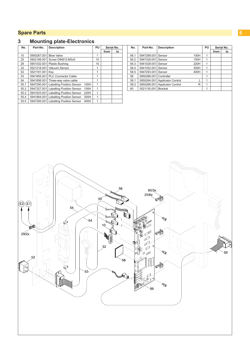### <span id="page-4-0"></span>**4 A Spare Parts 5 1** *A <b>C 5 A C <i>C C C C C C C C C C*

#### **3 Mounting plate-Electronics**

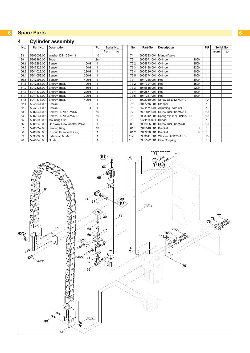## <span id="page-5-0"></span>**4 Cylinder assembly**

| No.  | Part-No.            | <b>Description</b>                     | PU<br>Serial No. |              |      |    |  |
|------|---------------------|----------------------------------------|------------------|--------------|------|----|--|
|      |                     |                                        |                  |              | from | to |  |
| 33   |                     | 5903003.001 Washer DIN125-A4.3         |                  | 10           |      |    |  |
| 39   | 5966460.001 Tube    |                                        |                  | 2m           |      |    |  |
| 56.1 | 5947289.001         | Sensor                                 | 100H             | 1            |      |    |  |
| 56.2 | 5947329.001 Sensor  |                                        | 150H             | $\mathbf{1}$ |      |    |  |
| 56.3 | 5941029.001         | Sensor                                 | 220H             | $\mathbf{1}$ |      |    |  |
| 56.4 | 5941052.001         | Sensor                                 | 300H             | 1            |      |    |  |
| 56.5 | 5947293.001         | Sensor                                 | 400H             | 1            |      |    |  |
| 61.1 |                     | 5947283.001 Energy Track               | 100H             | 1            |      |    |  |
| 61.2 |                     | 5947325.001 Energy Track               | 150H             | 1            |      |    |  |
| 61.3 | 5941872.001         | <b>Energy Track</b>                    | 220H             | 1            |      |    |  |
| 61.4 |                     | 5941873.001 Energy Track               | 300H             | 1            |      |    |  |
| 61.5 |                     | 5941878.001 Energy Track               | 400H             | 1            |      |    |  |
| 62.1 | 5945541.001         | <b>Bracket</b>                         |                  | 1            |      |    |  |
| 62.2 | 5947271.001 Bracket |                                        | R                | 1            |      |    |  |
| 63   |                     | 5902047.001 Screw DIN7991-M3x5         |                  | 10           |      |    |  |
| 64   |                     | 5902241.001 Screw DIN7984-M4x10        |                  | 10           |      |    |  |
| 65   | 5905593.001         | <b>Mounting Clip</b>                   |                  | 1            |      |    |  |
| 66   |                     | 5905249.001 One-way Flow Control Valve |                  | 1            |      |    |  |
| 67   | 5905352.001         | Sealing Ring                           |                  | 10           |      |    |  |
| 68   | 5905283.001         | Push-in/threaded Fitting               |                  | 1            |      |    |  |
| 69   |                     | 5538088.001 Extension M5-M5            |                  | 1            |      |    |  |
| 70   | 5941845.001 Guide   |                                        |                  | 1            |      |    |  |

| No.  | Part-No.             | <b>Description</b>             |      | PU             |      | Serial No. |
|------|----------------------|--------------------------------|------|----------------|------|------------|
|      |                      |                                |      |                | from | to         |
| 71   |                      | 5905523.001 Manual Valve       |      | 1              |      |            |
| 72.1 | 5905571.001 Cylinder |                                | 100H | $\overline{1}$ |      |            |
| 72.2 | 5905873.001          | Cylinder                       | 150H | $\overline{1}$ |      |            |
| 72.3 | 5905438.001 Cylinder |                                | 220H | $\overline{1}$ |      |            |
| 72.4 | 5905286.001          | Cylinder                       | 300H | $\overline{1}$ |      |            |
| 72.5 | 5905374.001          | Cylinder                       | 400H | $\overline{1}$ |      |            |
| 73.1 | 5947286.001          | Rod                            | 100H | 1              |      |            |
| 73.2 | 5947324.001          | Rod                            | 150H | 1              |      |            |
| 73.3 | 5945515.001          | Rod                            | 220H | $\overline{1}$ |      |            |
| 73.4 | 5942871.001          | Rod                            | 300H | $\overline{1}$ |      |            |
| 73.5 | 5947287.001          | Rod                            | 400H | $\overline{1}$ |      |            |
| 74   | 5902010.001          | Screw DIN912-M3x10             |      | 10             |      |            |
| 75   | 5947276.001          | Stopper                        |      | 1              |      |            |
| 76   | 5521171.001          | Adjusting Plate cpl.           |      | $\overline{1}$ |      |            |
| 77   | 5902811.001          | Screw DIN912-M5x14             |      | 10             |      |            |
| 78   | 5903012.001          | Spring Washer DIN137-A5        |      | 10             |      |            |
| 79   | 5521114.001          | <b>Bridge</b>                  |      | $\overline{1}$ |      |            |
| 80   | 5902005.001          | Screw DIN912-M3x8              |      | 10             |      |            |
| 81.1 | 5945540.001          | <b>Bracket</b>                 | L    | $\overline{1}$ |      |            |
| 81.2 | 5947270.001          | <b>Bracket</b>                 | R    | $\overline{1}$ |      |            |
| 112  |                      | 5903041.001 Washer DIN125-A5.3 |      | 10             |      |            |
| 113  |                      | 5905522.001 Pipe Coupling      |      | 1              |      |            |

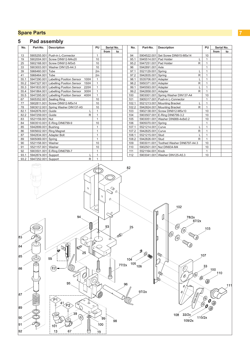90

 $\vert_{91}$ 

 $92$ 

 $101$ 

 $13$ 

67

## <span id="page-6-0"></span>**5 Pad assembly**

| No.                     | Part-No.                 | <b>Description</b>                                     |              |                                | Serial No.           | No.                 | Part-No.               | <b>Description</b>                      | PU           |            | Serial No. |
|-------------------------|--------------------------|--------------------------------------------------------|--------------|--------------------------------|----------------------|---------------------|------------------------|-----------------------------------------|--------------|------------|------------|
|                         |                          |                                                        |              | from                           | to                   |                     |                        |                                         |              | from       | to         |
| 13                      |                          | 5905255.001 Push-in L-Connector                        | $\mathbf{1}$ |                                |                      | 94                  | 5904522.001            | Set Screw DIN915-M5x14                  | 10           |            |            |
| 19                      |                          | 5902004.001 Screw DIN912-M4x20                         | 10           |                                |                      | 95.1                | 5945514.001 Pad Holder | L                                       | $\mathbf{1}$ |            |            |
| 25                      |                          | 5902168.001 Screw DIN912-M3x5                          | 10           |                                |                      | 95.2                | 5947251.001 Pad Holder | R                                       | $\mathbf{1}$ |            |            |
| 33                      |                          | 5903003.001 Washer DIN125-A4.3                         | $10$         |                                |                      | 96                  | 5942891.001 Axle       |                                         | $\mathbf{1}$ |            |            |
| 39                      | 5966460.001 Tube         |                                                        | 2m           |                                |                      | 97.1                | 5521129.001 Spring     | L                                       | $\mathbf{1}$ |            |            |
| 41                      | 5966464.001 Tube         |                                                        | 2m           |                                |                      | 97.2                | 5942835.001 Spring     | R                                       | $\mathbf{1}$ |            |            |
| 55.1                    |                          | 5947290.001 Labelling Position Sensor 100H             | $\mathbf{1}$ |                                |                      | 98.1                | 5535706.001 Adapter    | L                                       | $\mathbf{1}$ |            |            |
|                         |                          |                                                        |              |                                |                      |                     |                        |                                         | $\mathbf{1}$ |            |            |
| 55.2                    |                          | 5947327.001 Labelling Position Sensor 150H             | $\mathbf{1}$ |                                |                      | 98.2                | 5950371.001 Adapter    | R                                       |              |            |            |
| 55.3                    |                          | 5941833.001 Labelling Position Sensor<br>220H          | $\mathbf{1}$ |                                |                      | 99.1                | 5945593.001 Adapter    | L                                       | $\mathbf{1}$ |            |            |
| 55.4                    |                          | 5941864.001 Labelling Position Sensor<br>300H          | $\mathbf{1}$ |                                |                      | 99.2                | 5942858.001 Adapter    | R                                       | $\mathbf{1}$ |            |            |
| 55.5                    |                          | 5947295.001 Labelling Position Sensor<br>400H          | $\mathbf{1}$ |                                |                      | 100                 |                        | 5903001.001 Spring Washer DIN137-A4     | 10           |            |            |
| 67                      | 5905352.001 Sealing Ring |                                                        | 10           |                                |                      | 101                 |                        | 5905317.001 Push-in L-Connector         | $\mathbf{1}$ |            |            |
| 77                      |                          | 5902811.001 Screw DIN912-M5x14                         | 10           |                                |                      | 102.1               |                        | 5521213.001 Mounting Bracket<br>L       | $\mathbf{1}$ |            |            |
| 78                      |                          | 5903012.001 Spring Washer DIN137-A5                    | 10           |                                |                      | 102.2               |                        | 5942824.001 Mounting Bracket<br>R       | $\mathbf{1}$ |            |            |
| 82.1                    | 5942876.001 Guide        | Г                                                      | $\mathbf{1}$ |                                |                      | 103                 |                        | 5902138.001 Screw DIN912-M5x10          | 10           |            |            |
| 82.2                    | 5947259.001 Guide        | R                                                      | $\mathbf{1}$ |                                |                      | 104                 |                        | 5903507.001 E-Ring DIN6799-3.2          | 10           |            |            |
| 83                      | 5521159.001 Nut          |                                                        | $\mathbf{1}$ |                                |                      | 105                 |                        | 5903051.001 Washer DIN988-4x8x0.2       | 10           |            |            |
| 84                      |                          | 5903510.001 E-Ring DIN6799-9                           | 10           |                                |                      | 106                 | 5905070.001 Spring     |                                         | $\mathbf{1}$ |            |            |
| 85                      | 5942899.001 Bushing      |                                                        | $\mathbf{1}$ |                                |                      | 107.1               | 5521214.001 Curve      | L                                       | $\mathbf{1}$ |            |            |
| 86                      |                          | 5905602.001 Ring Magnet                                | $\mathbf{1}$ |                                |                      | 107.2               | 5942825.001 Curve      | R                                       | $\mathbf{1}$ |            |            |
| 87                      | 5942834.001 Adapter Bolt |                                                        | $\mathbf{1}$ |                                |                      | 108.1               | 5521215.001 Stud       | Г                                       | $\mathbf{1}$ |            |            |
| 89                      | 5905069.001 Spring       |                                                        | $\mathbf{1}$ |                                |                      | 108.2               | 5942826.001 Stud       | R                                       | $\mathbf{1}$ |            |            |
| 90                      | 5521158.001 Washer       |                                                        | 10           |                                |                      | 109                 |                        | 5903011.001 Toothed Washer DIN6797-A4.3 | 10           |            |            |
| 91                      | 5521157.001 Washer       |                                                        | 10           |                                |                      | 110                 |                        | 5902501.001 Nut DIN934-M4               | 10           |            |            |
| 92                      |                          | 5903501.001 E-Ring DIN6799-7                           | $\mathbf{1}$ |                                |                      | 111                 | 5521164.001 Knob       |                                         | $\mathbf{1}$ |            |            |
| 93.1                    | 5942874.001 Support      | Г                                                      | $\mathbf{1}$ |                                |                      | 112                 |                        | 5903041.001 Washer DIN125-A5.3          | 10           |            |            |
| 93.2                    | 5947252.001 Support      | R                                                      | $\mathbf{1}$ |                                |                      |                     |                        |                                         |              |            |            |
|                         |                          | $\mathcal{O}$                                          |              | ⇘<br>$\mathcal{O}$<br>$\alpha$ | $\infty$<br>$\alpha$ |                     |                        |                                         |              |            |            |
|                         |                          | 94                                                     | Ф            | 93                             |                      | 25                  |                        | 102<br>78/2x<br>67/2x<br>O<br>(O)       | 103          |            |            |
| $\mathbf{83}^{'}$<br>84 |                          | Q<br>0°                                                |              |                                | لاهي                 |                     |                        | Q<br>(O)                                |              |            |            |
| 85                      |                          | 25<br>55                                               | ID           | 0                              |                      | 104<br>105<br>77/2x | 10,                    | $\mathbb{Q}$                            | 107          |            |            |
| 86                      |                          | E <sub>2</sub><br>$\mathscr{Q}$<br>95                  |              | aaaaaa                         |                      | 96                  | 106                    | ΙД,<br>79<br>Q                          | 33<br>V      | 100<br>110 | 11         |
| 87<br>89                |                          | P <sub>1</sub><br>$\circ$<br>41<br>Ф<br>P <sub>2</sub> | $\circ$      |                                |                      |                     | 97/2x                  | Ø.                                      | O            |            |            |

`99 ¦

 $\lambda$ 100

 $\lambda$ 

€

 $98$ 

 $\begin{array}{r}\n108 \quad 33/2x \\
109/2x\n\end{array}$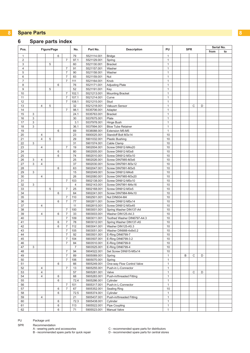### <span id="page-7-0"></span>**Spare parts index**

| Pos.                | Figure/Page |                         |   |   |                                  | No.            | Part No.                   | <b>Description</b>                       | PU<br><b>SPR</b>             |  | Serial No. |   |   |      |    |
|---------------------|-------------|-------------------------|---|---|----------------------------------|----------------|----------------------------|------------------------------------------|------------------------------|--|------------|---|---|------|----|
|                     |             |                         |   |   |                                  |                |                            |                                          |                              |  |            |   |   | from | to |
| $\mathbf{1}$        |             |                         |   | 6 |                                  | 79             | 5521114.001                | <b>Bridge</b>                            | 1                            |  |            |   |   |      |    |
| $\overline{c}$      |             |                         |   |   | $\overline{7}$                   | 97.1           | 5521129.001                | Spring                                   | 1                            |  |            |   |   |      |    |
| 3                   |             |                         | 5 |   |                                  | 60             | 5521130.001                | <b>Bracket</b>                           | 1                            |  |            |   |   |      |    |
| $\overline{4}$<br>5 |             |                         |   |   | $\overline{7}$<br>$\overline{7}$ | 91<br>90       | 5521157.001<br>5521158.001 | Washer<br>Washer                         | $\mathbf{1}$<br>$\mathbf{1}$ |  |            |   |   |      |    |
| 6                   |             |                         |   |   | $\overline{7}$                   | 83             | 5521159.001                | Nut                                      | 1                            |  |            |   |   |      |    |
| $\overline{7}$      |             |                         |   |   | $\overline{7}$                   | 111            | 5521164.001                | Knob                                     | $\mathbf{1}$                 |  |            |   |   |      |    |
| 8                   |             |                         |   | 6 |                                  | 76             | 5521171.001                | <b>Adjusting Plate</b>                   | $\mathbf{1}$                 |  |            |   |   |      |    |
| 9                   |             |                         | 5 |   |                                  | 52             | 5521191.001                | Key                                      | $\mathbf{1}$                 |  |            |   |   |      |    |
| 10                  |             |                         |   |   | $\overline{7}$                   | 102.1          | 5521213.001                | <b>Mounting Bracket</b>                  | $\mathbf{1}$                 |  |            |   |   |      |    |
| 11                  |             |                         |   |   | $\overline{7}$                   | 107.1          | 5521214.001                | Curve                                    | $\mathbf{1}$                 |  |            |   |   |      |    |
| 12                  |             |                         |   |   | $\overline{7}$                   | 108.1          | 5521215.001                | Stud                                     | $\mathbf{1}$                 |  |            |   |   |      |    |
| 13                  |             | $\overline{4}$          | 5 |   |                                  | 32             | 5521218.001                | Vakuum Sensor                            | $\mathbf{1}$                 |  |            | C | D |      |    |
| 14                  |             |                         |   |   | $\overline{7}$                   | 98.1           | 5535706.001                | Adapter                                  | $\mathbf{1}$                 |  |            |   |   |      |    |
| 15                  | 3           |                         |   |   |                                  | 24.1           | 5535763.001                | <b>Bracket</b>                           | 1                            |  |            |   |   |      |    |
| 16                  | 3           |                         |   |   |                                  | 30             | 5537675.001                | Plate                                    | 1                            |  |            |   |   |      |    |
| 17                  | 3           |                         |   |   |                                  | 3.1            | 5537978.001                | Hinge Bush                               | $\mathbf{1}$                 |  |            |   |   |      |    |
| 18                  | 3           |                         |   |   |                                  | 36.1           | 5537994.001                | <b>Blow Tube Retainer</b>                | 1                            |  |            |   |   |      |    |
| 19                  |             |                         |   | 6 |                                  | 69             | 5538088.001                | Extension M5-M5                          | $\mathbf{1}$                 |  |            |   |   |      |    |
| 20                  |             | $\overline{4}$          |   |   |                                  | 23             | 5900025.001                | Standoff Bolt M3x14                      | 10                           |  |            |   |   |      |    |
| 21                  |             | $\overline{4}$          | 5 |   |                                  | 29             | 5901032.001                | <b>Plastic Bushing</b>                   | 10                           |  |            |   |   |      |    |
| 22                  | 3           |                         |   |   |                                  | 31             | 5901574.001                | Cable Clamp                              | 10                           |  |            |   |   |      |    |
| 23                  |             | $\overline{4}$          |   |   | $\overline{7}$                   | 19             | 5902004.001                | Screw DIN912-M4x20                       | 10                           |  |            |   |   |      |    |
| 24                  |             |                         |   | 6 |                                  | 80             | 5902005.001                | Screw DIN912-M3x8                        | 10                           |  |            |   |   |      |    |
| 25                  |             |                         |   | 6 |                                  | 74             | 5902010.001                | Screw DIN912-M3x10                       | 10                           |  |            |   |   |      |    |
| 26                  | 3           | $\overline{4}$          |   |   |                                  | 25             | 5902026.001                | Screw DIN7985-M3x6                       | 10                           |  |            |   |   |      |    |
| 27                  | 3           | $\overline{\mathbf{4}}$ |   |   |                                  | 37             | 5902030.001                | Screw DIN7991-M3x12                      | 10                           |  |            |   |   |      |    |
| 28                  |             |                         |   | 6 |                                  | 63             | 5902047.001                | Screw DIN7991-M3x5                       | 10                           |  |            |   |   |      |    |
| 29                  | 3           |                         |   |   |                                  | 15             | 5902049.001                | Screw DIN912-M4x6                        | 10                           |  |            |   |   |      |    |
| 30                  |             | $\overline{\mathbf{4}}$ |   |   |                                  | 26             | 5902080.001                | Screw DIN7985-M3x20                      | 10                           |  |            |   |   |      |    |
| 31                  |             |                         |   |   | $\overline{7}$                   | 103            | 5902138.001                | Screw DIN912-M5x10                       | 10                           |  |            |   |   |      |    |
| 32                  | 3           |                         | 5 |   | $\overline{7}$                   | 4<br>25        | 5902143.001                | Screw DIN7991-M4x16                      | 10<br>10                     |  |            |   |   |      |    |
| 33<br>34            |             |                         |   | 6 |                                  | 64             | 5902168.001<br>5902241.001 | Screw DIN912-M3x5<br>Screw DIN7984-M4x10 | 10                           |  |            |   |   |      |    |
| 35                  |             |                         |   |   | $\overline{7}$                   | 110            | 5902501.001                | Nut DIN934-M4                            | 10                           |  |            |   |   |      |    |
| 36                  |             |                         |   | 6 | $\overline{7}$                   | 77             | 5902811.001                | Screw DIN912-M5x14                       | 10                           |  |            |   |   |      |    |
| 37                  |             | $\overline{4}$          |   |   |                                  | 11             | 5902815.001                | Screw DIN912-M3x45                       | 10                           |  |            |   |   |      |    |
| 38                  |             |                         |   |   | $\overline{7}$                   | 100            | 5903001.001                | Spring Washer DIN137-A4                  | 10                           |  |            |   |   |      |    |
| 39                  |             | $\overline{4}$          |   | 6 | $\overline{7}$                   | 33             | 5903003.001                | Washer DIN125-A4.3                       | 10                           |  |            |   |   |      |    |
| 40                  |             |                         |   |   | $\overline{7}$                   | 109            | 5903011.001                | Toothed Washer DIN6797-A4.3              | 10                           |  |            |   |   |      |    |
| 41                  |             |                         |   | 6 | $\overline{7}$                   | 78             | 5903012.001                | Spring Washer DIN137-A5                  | 10                           |  |            |   |   |      |    |
| 42                  |             |                         |   | 6 | $\overline{7}$                   | 112            | 5903041.001                | Washer DIN125-A5.3                       | 10                           |  |            |   |   |      |    |
| 43                  |             |                         |   |   | $\overline{7}$                   | 105            | 5903051.001                | Washer DIN988-4x8x0.2                    | 10                           |  |            |   |   |      |    |
| 44                  |             |                         |   |   | 7                                | 92             | 5903501.001                | E-Ring DIN6799-7                         | 10                           |  |            |   |   |      |    |
| 45                  |             |                         |   |   | $\boldsymbol{7}$                 | 104            | 5903507.001                | E-Ring DIN6799-3.2                       | 10                           |  |            |   |   |      |    |
| 46                  |             |                         |   |   | $\overline{7}$                   | 84             | 5903510.001                | E-Ring DIN6799-9                         | 10                           |  |            |   |   |      |    |
| 47                  | 3           |                         |   |   |                                  | $\overline{7}$ | 5903525.001                | E-Ring DIN6799-4                         | 10                           |  |            |   |   |      |    |
| 48                  |             |                         |   |   | $\overline{\mathcal{I}}$         | 94             | 5904522.001                | Set Screw DIN915-M5x14                   | 10                           |  |            |   |   |      |    |
| 49                  |             |                         |   |   | $\overline{7}$                   | 89             | 5905069.001                | Spring                                   | $\mathbf{1}$                 |  | B          | C | D |      |    |
| 50                  |             |                         |   |   | $\overline{7}$                   | 106            | 5905070.001                | Spring                                   | $\mathbf{1}$                 |  |            |   |   |      |    |
| 51                  |             |                         |   | 6 |                                  | 66             | 5905249.001                | One-way Flow Control Valve               | $\mathbf{1}$                 |  |            |   |   |      |    |
| 52                  |             | $\overline{4}$          |   |   | $\overline{7}$                   | 13             | 5905255.001                | Push-in L-Connector                      | $\mathbf{1}$                 |  |            |   |   |      |    |
| 53                  |             | 4                       |   |   |                                  | 57             | 5905281.001                | Valve                                    | $\mathbf{1}$                 |  |            | С | D |      |    |
| 54                  |             | $\overline{4}$          |   | 6 |                                  | 68             | 5905283.001                | Push-in/threaded Fitting                 | $\mathbf{1}$                 |  |            |   |   |      |    |
| 55                  |             |                         |   | 6 |                                  | 72.4           | 5905286.001                | Cylinder                                 | $\mathbf{1}$                 |  |            |   |   |      |    |
| 56                  |             |                         |   |   | $\overline{7}$                   | 101            | 5905317.001                | Push-in L-Connector                      | $\mathbf{1}$                 |  |            |   |   |      |    |
| 57                  |             |                         |   | 6 | $\overline{7}$                   | 67             | 5905352.001                | <b>Sealing Ring</b>                      | 10                           |  |            |   |   |      |    |
| 58<br>59            |             | $\overline{4}$          |   | 6 |                                  | 72.5<br>21     | 5905374.001<br>5905437.001 | Cylinder<br>Push-in/threaded Fitting     | $\mathbf{1}$<br>$\mathbf{1}$ |  |            |   |   |      |    |
| 60                  |             |                         |   | 6 |                                  | 72.3           | 5905438.001                | Cylinder                                 | $\mathbf{1}$                 |  |            |   |   |      |    |
| 61                  |             |                         |   | 6 |                                  | 113            | 5905522.001                | Pipe Coupling                            | $\mathbf{1}$                 |  |            |   |   |      |    |
| 62                  |             |                         |   | 6 |                                  | 71             | 5905523.001                | <b>Manual Valve</b>                      | $\mathbf{1}$                 |  |            |   |   |      |    |
|                     |             |                         |   |   |                                  |                |                            |                                          |                              |  |            |   |   |      |    |

#### PU Package unit

SPR Recommendation

A - wearing parts and accessories \_\_\_\_\_\_\_\_\_\_\_\_\_\_\_\_\_\_\_\_\_C - recommended spare parts for distributors C - recommended spare parts for distributors<br>D - recommended spare parts for central stores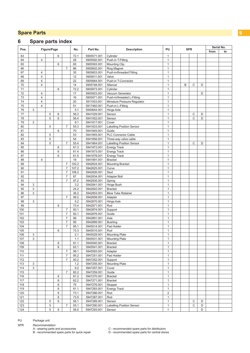## **Spare parts index**

| Pos.  | Figure/Page |                |   |   |                | Part No.<br>No. |             | <b>Description</b>               |              | PU<br><b>SPR</b> |   |   |   | Serial No. |    |  |
|-------|-------------|----------------|---|---|----------------|-----------------|-------------|----------------------------------|--------------|------------------|---|---|---|------------|----|--|
|       |             |                |   |   |                |                 |             |                                  |              |                  |   |   |   | from       | to |  |
| 63    |             |                |   | 6 |                | 72.1            | 5905571.001 | Cylinder                         | 1            |                  |   |   |   |            |    |  |
| 64    |             | $\overline{4}$ |   |   |                | 28              | 5905592.001 | Push-in T-Fitting                | $\mathbf{1}$ |                  |   |   |   |            |    |  |
| 65    |             |                |   | 6 |                | 65              | 5905593.001 | <b>Mounting Clip</b>             | $\mathbf{1}$ |                  |   |   |   |            |    |  |
| 66    |             |                |   |   | $\overline{7}$ | 86              | 5905602.001 | <b>Ring Magnet</b>               | $\mathbf{1}$ |                  |   |   |   |            |    |  |
| 67    |             | $\overline{4}$ |   |   |                | 35              | 5905603.001 | Push-in/threaded Fitting         | $\mathbf{1}$ |                  |   |   |   |            |    |  |
| 68    |             | $\overline{4}$ |   |   |                | 12              | 5905611.001 | Valve                            | $\mathbf{1}$ |                  |   |   |   |            |    |  |
| 69    |             | $\overline{4}$ |   |   |                | 22              | 5905664.001 | Push-in T-Connector              | $\mathbf{1}$ |                  |   |   |   |            |    |  |
| 70    |             | $\overline{4}$ |   |   |                | 14              | 5905748.001 | Silencer                         | $\mathbf{1}$ |                  | B | C | D |            |    |  |
| 71    |             |                |   | 6 |                | 72.2            | 5905873.001 | Cylinder                         | $\mathbf{1}$ |                  |   |   |   |            |    |  |
| 72    |             | $\overline{4}$ |   |   |                | 17              | 5905923.001 | Vacuum Generator                 | $\mathbf{1}$ |                  |   |   | D |            |    |  |
| 73    |             | $\overline{4}$ |   |   |                | 16              | 5905971.001 | Push-in/threaded L-Fitting       | $\mathbf{1}$ |                  |   |   |   |            |    |  |
| 74    |             | $\overline{4}$ |   |   |                | 20              | 5911003.001 | Miniature Pressure Regulator     | $\mathbf{1}$ |                  |   |   |   |            |    |  |
| 75    |             | $\overline{4}$ |   |   |                | 51              | 5917462.001 | Push-in L-Fitting                | $\mathbf{1}$ |                  |   |   |   |            |    |  |
| 76    | 3           |                |   |   |                | 5.1             | 5940644.001 | Hinge Axle                       | $\mathbf{1}$ |                  |   |   |   |            |    |  |
| 77    |             |                | 5 | 6 |                | 56.3            | 5941029.001 | Sensor                           | $\mathbf{1}$ |                  |   | C | D |            |    |  |
| 78    |             |                | 5 | 6 |                | 56.4            | 5941052.001 | Sensor                           | $\mathbf{1}$ |                  |   | C | D |            |    |  |
| 79    | 3           |                |   |   |                | 9.1             | 5941817.001 | Cover                            | $\mathbf{1}$ |                  |   |   |   |            |    |  |
| 80    |             |                | 5 |   | $\overline{7}$ | 55.3            | 5941833.001 | <b>Labelling Position Sensor</b> | $\mathbf{1}$ |                  |   |   |   |            |    |  |
| 81    |             |                |   | 6 |                | 70              | 5941845.001 | Guide                            | $\mathbf{1}$ |                  |   |   |   |            |    |  |
| 82    |             |                | 5 |   |                | 53              | 5941855.001 | <b>PLC Connector Cable</b>       | $\mathbf{1}$ |                  |   |   |   |            |    |  |
| 83    |             |                | 5 |   |                | 54              | 5941856.001 | Three-way valve cable            | $\mathbf{1}$ |                  |   |   |   |            |    |  |
| 84    |             |                | 5 |   | $\overline{7}$ | 55.4            | 5941864.001 | <b>Labelling Position Sensor</b> | $\mathbf{1}$ |                  |   | C | D |            |    |  |
| 85    |             |                |   | 6 |                | 61.3            | 5941872.001 | <b>Energy Track</b>              | $\mathbf{1}$ |                  |   |   |   |            |    |  |
| 86    |             |                |   | 6 |                | 61.4            | 5941873.001 | <b>Energy Track</b>              | $\mathbf{1}$ |                  |   |   |   |            |    |  |
| 87    |             |                |   | 6 |                | 61.5            | 5941878.001 | <b>Energy Track</b>              | $\mathbf{1}$ |                  |   |   |   |            |    |  |
| 88    |             | $\overline{4}$ |   |   |                | 18              | 5941991.001 | <b>Bracket</b>                   | $\mathbf{1}$ |                  |   |   |   |            |    |  |
| 89    |             |                |   |   | $\overline{7}$ | 102.2           | 5942824.001 | <b>Mounting Bracket</b>          | $\mathbf{1}$ |                  |   |   |   |            |    |  |
| 90    |             |                |   |   | $\overline{7}$ | 107.2           | 5942825.001 | Curve                            | $\mathbf{1}$ |                  |   |   |   |            |    |  |
| 91    |             |                |   |   | $\overline{7}$ | 108.2           | 5942826.001 | Stud                             | $\mathbf{1}$ |                  |   |   |   |            |    |  |
| 92    |             |                |   |   | $\overline{7}$ | 87              | 5942834.001 | Adapter Bolt                     | $\mathbf{1}$ |                  |   |   |   |            |    |  |
| 93    |             |                |   |   | $\overline{7}$ | 97.2            | 5942835.001 | Spring                           | $\mathbf{1}$ |                  |   |   |   |            |    |  |
| 94    | 3           |                |   |   |                | 3.2             | 5942841.001 | Hinge Bush                       | $\mathbf{1}$ |                  |   |   |   |            |    |  |
| 95    | 3           |                |   |   |                | 24.2            | 5942842.001 | <b>Bracket</b>                   | $\mathbf{1}$ |                  |   |   |   |            |    |  |
| 96    | 3           |                |   |   |                | 36.2            | 5942853.001 | <b>Blow Tube Retainer</b>        | $\mathbf{1}$ |                  |   |   |   |            |    |  |
| 97    |             |                |   |   | $\overline{7}$ | 99.2            | 5942858.001 | Adapter                          | $\mathbf{1}$ |                  |   |   |   |            |    |  |
| 98    | 3           |                |   |   |                | 5.2             | 5942870.001 | Hinge Axle                       | $\mathbf{1}$ |                  |   |   |   |            |    |  |
| 99    |             |                |   | 6 |                | 73.4            | 5942871.001 | Rod                              | $\mathbf{1}$ |                  |   |   |   |            |    |  |
| 100   |             |                |   |   | $\overline{7}$ | 93.1            | 5942874.001 | Support                          | $\mathbf{1}$ |                  |   |   |   |            |    |  |
| 101   |             |                |   |   | $\overline{7}$ | 82.1            | 5942876.001 | Guide                            | $\mathbf{1}$ |                  |   |   |   |            |    |  |
| 102   |             |                |   |   | $\overline{7}$ | 96              | 5942891.001 | Axle                             | $\mathbf{1}$ |                  |   |   |   |            |    |  |
| 103   |             |                |   |   | $\overline{7}$ | 85              | 5942899.001 | <b>Bushing</b>                   | $\mathbf{1}$ |                  |   |   |   |            |    |  |
| 104   |             |                |   |   | 7              | 95.1            | 5945514.001 | Pad Holder                       | $\mathbf{1}$ |                  |   |   |   |            |    |  |
| 105   |             |                |   | 6 |                | 73.3            | 5945515.001 | Rod                              | $\mathbf{1}$ |                  |   |   |   |            |    |  |
| 106   | 3           |                |   |   |                | 2.1             | 5945529.001 | <b>Mounting Plate</b>            | 1            |                  |   |   |   |            |    |  |
| 107   | 3           |                |   |   |                | 1.1             | 5945531.001 | <b>Mounting Plate</b>            | $\mathbf{1}$ |                  |   |   |   |            |    |  |
| 108   |             |                |   | 6 |                | 81.1            | 5945540.001 | <b>Bracket</b>                   | $\mathbf{1}$ |                  |   |   |   |            |    |  |
| 109   |             |                |   | 6 |                | 62.1            | 5945541.001 | <b>Bracket</b>                   | $\mathbf{1}$ |                  |   |   |   |            |    |  |
| 110   |             |                |   |   | $\overline{7}$ | 99.1            | 5945593.001 | Adapter                          | $\mathbf{1}$ |                  |   |   |   |            |    |  |
| 111   |             |                |   |   | $\overline{7}$ | 95.2            | 5947251.001 | Pad Holder                       | $\mathbf{1}$ |                  |   |   |   |            |    |  |
| 112   |             |                |   |   | $\overline{7}$ | 93.2            | 5947252.001 | Support                          | $\mathbf{1}$ |                  |   |   |   |            |    |  |
| 113   | 3           |                |   |   |                | 1.2             | 5947255.001 | <b>Mounting Plate</b>            | $\mathbf{1}$ |                  |   |   |   |            |    |  |
| 114   | 3           |                |   |   |                | 9.2             | 5947257.001 | Cover                            | $\mathbf{1}$ |                  |   |   |   |            |    |  |
| 115   |             |                |   |   | $\overline{7}$ | 82.2            | 5947259.001 | Guide                            | $\mathbf{1}$ |                  |   |   |   |            |    |  |
| 116   |             |                |   | 6 |                | 81.2            | 5947270.001 | <b>Bracket</b>                   | $\mathbf{1}$ |                  |   |   |   |            |    |  |
| $117$ |             |                |   | 6 |                | 62.2            | 5947271.001 | <b>Bracket</b>                   | $\mathbf{1}$ |                  |   |   |   |            |    |  |
| 118   |             |                |   | 6 |                | ${\bf 75}$      | 5947276.001 | Stopper                          | $\mathbf{1}$ |                  |   |   |   |            |    |  |
| 119   |             |                |   | 6 |                | 61.1            | 5947283.001 | Energy Track                     | $\mathbf{1}$ |                  |   |   |   |            |    |  |
| 120   |             |                |   | 6 |                | 73.1            | 5947286.001 | Rod                              | $\sqrt{2}$   |                  |   |   |   |            |    |  |
| 121   |             |                |   | 6 |                | 73.5            | 5947287.001 | Rod                              | $\mathbf{1}$ |                  |   |   |   |            |    |  |
| 122   |             |                | 5 | 6 |                | 56.1            | 5947289.001 | Sensor                           | $\mathbf{1}$ |                  |   | C | D |            |    |  |
| 123   |             |                | 5 |   | $\overline{7}$ | 55.1            | 5947290.001 | <b>Labelling Position Sensor</b> | $\mathbf{1}$ |                  |   | С | D |            |    |  |
| 124   |             |                | 5 | 6 |                | 56.5            | 5947293.001 | Sensor                           | $\mathbf{1}$ |                  |   |   | D |            |    |  |
|       |             |                |   |   |                |                 |             |                                  |              |                  |   |   |   |            |    |  |

PU Package unit

SPR Recommendation

C - recommended spare parts for distributors<br>D - recommended spare parts for central stores

A - wearing parts and accessories \_\_\_\_\_\_\_\_\_\_\_\_\_\_\_\_\_\_\_\_\_C - recommended spare parts for distributors